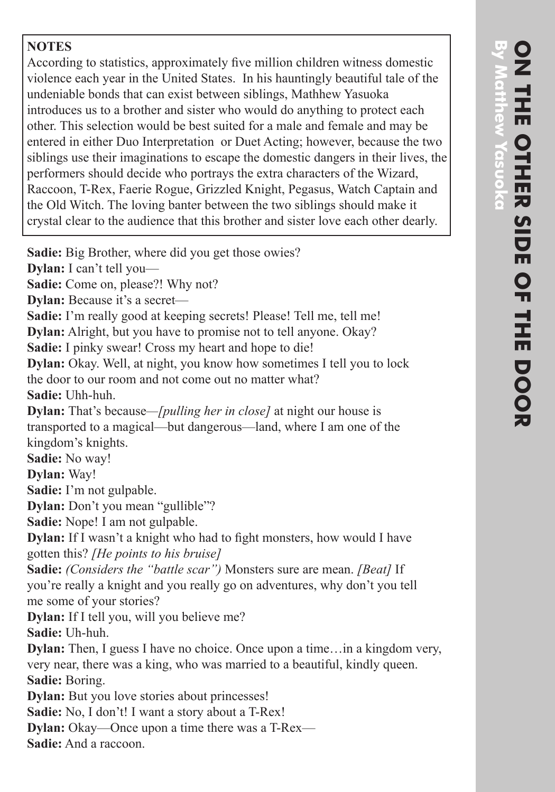## **NOTES**

According to statistics, approximately five million children witness domestic violence each year in the United States. In his hauntingly beautiful tale of the undeniable bonds that can exist between siblings, Mathhew Yasuoka introduces us to a brother and sister who would do anything to protect each other. This selection would be best suited for a male and female and may be entered in either Duo Interpretation or Duet Acting; however, because the two siblings use their imaginations to escape the domestic dangers in their lives, the performers should decide who portrays the extra characters of the Wizard, Raccoon, T-Rex, Faerie Rogue, Grizzled Knight, Pegasus, Watch Captain and the Old Witch. The loving banter between the two siblings should make it crystal clear to the audience that this brother and sister love each other dearly.

**Sadie:** Big Brother, where did you get those owies?

**Dylan:** I can't tell you—

**Sadie:** Come on, please?! Why not?

**Dylan:** Because it's a secret—

**Sadie:** I'm really good at keeping secrets! Please! Tell me, tell me!

**Dylan:** Alright, but you have to promise not to tell anyone. Okay?

**Sadie:** I pinky swear! Cross my heart and hope to die!

**Dylan:** Okay. Well, at night, you know how sometimes I tell you to lock the door to our room and not come out no matter what? **Sadie:** Uhh-huh.

**Dylan:** That's because*—[pulling her in close]* at night our house is transported to a magical—but dangerous—land, where I am one of the kingdom's knights.

**Sadie:** No way!

**Dylan:** Way!

**Sadie:** I'm not gulpable.

**Dylan:** Don't you mean "gullible"?

**Sadie:** Nope! I am not gulpable.

**Dylan:** If I wasn't a knight who had to fight monsters, how would I have gotten this? *[He points to his bruise]*

**Sadie:** *(Considers the "battle scar")* Monsters sure are mean. *[Beat]* If you're really a knight and you really go on adventures, why don't you tell me some of your stories?

**Dylan:** If I tell you, will you believe me?

**Sadie:** Uh-huh.

**Dylan:** Then, I guess I have no choice. Once upon a time…in a kingdom very, very near, there was a king, who was married to a beautiful, kindly queen. **Sadie:** Boring.

**Dylan:** But you love stories about princesses!

**Sadie:** No, I don't! I want a story about a T-Rex!

**Dylan:** Okay—Once upon a time there was a T-Rex—

**Sadie:** And a raccoon.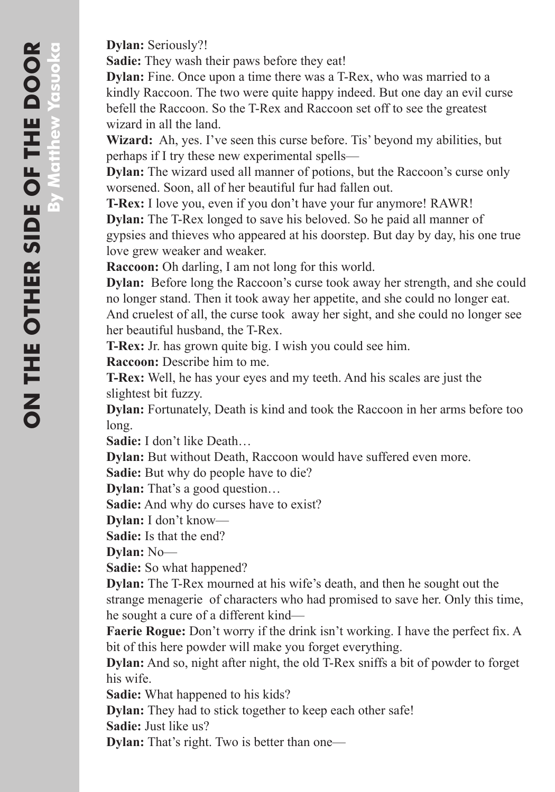**Dylan:** Seriously?!

**Sadie:** They wash their paws before they eat!

**Dylan:** Fine. Once upon a time there was a T-Rex, who was married to a kindly Raccoon. The two were quite happy indeed. But one day an evil curse befell the Raccoon. So the T-Rex and Raccoon set off to see the greatest wizard in all the land.

**Wizard:** Ah, yes. I've seen this curse before. Tis' beyond my abilities, but perhaps if I try these new experimental spells—

**Dylan:** The wizard used all manner of potions, but the Raccoon's curse only worsened. Soon, all of her beautiful fur had fallen out.

**T-Rex:** I love you, even if you don't have your fur anymore! RAWR!

**Dylan:** The T-Rex longed to save his beloved. So he paid all manner of gypsies and thieves who appeared at his doorstep. But day by day, his one true love grew weaker and weaker.

**Raccoon:** Oh darling, I am not long for this world.

**Dylan:** Before long the Raccoon's curse took away her strength, and she could no longer stand. Then it took away her appetite, and she could no longer eat. And cruelest of all, the curse took away her sight, and she could no longer see her beautiful husband, the T-Rex.

**T-Rex:** Jr. has grown quite big. I wish you could see him.

**Raccoon:** Describe him to me.

**T-Rex:** Well, he has your eyes and my teeth. And his scales are just the slightest bit fuzzy.

**Dylan:** Fortunately, Death is kind and took the Raccoon in her arms before too long.

**Sadie:** I don't like Death…

**Dylan:** But without Death, Raccoon would have suffered even more.

**Sadie:** But why do people have to die?

**Dylan:** That's a good question…

**Sadie:** And why do curses have to exist?

**Dylan:** I don't know—

**Sadie:** Is that the end?

**Dylan:** No—

**Sadie:** So what happened?

**Dylan:** The T-Rex mourned at his wife's death, and then he sought out the strange menagerie of characters who had promised to save her. Only this time, he sought a cure of a different kind—

**Faerie Rogue:** Don't worry if the drink isn't working. I have the perfect fix. A bit of this here powder will make you forget everything.

**Dylan:** And so, night after night, the old T-Rex sniffs a bit of powder to forget his wife.

**Sadie:** What happened to his kids?

**Dylan:** They had to stick together to keep each other safe!

**Sadie:** Just like us?

**Dylan:** That's right. Two is better than one—